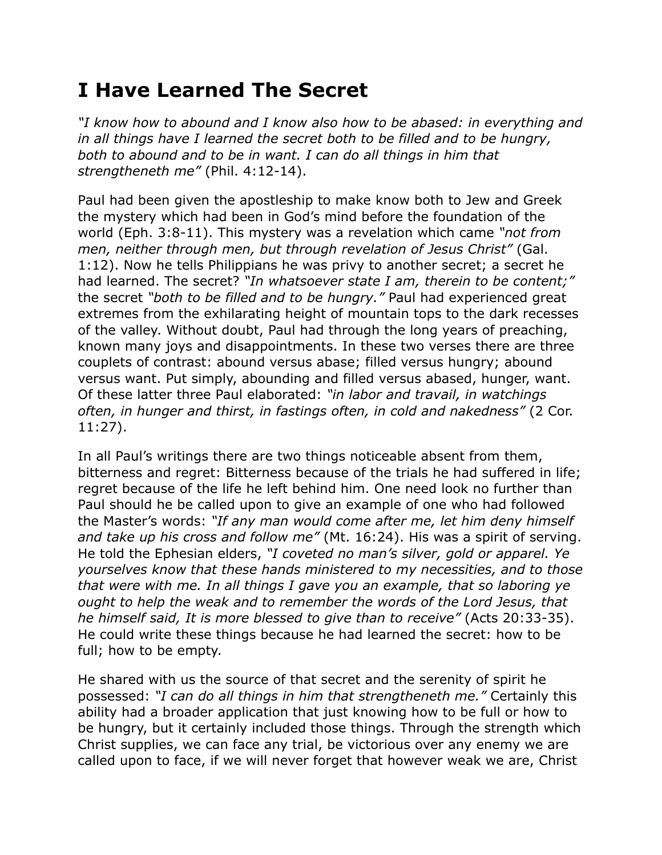## **I Have Learned The Secret**

*"I know how to abound and I know also how to be abased: in everything and in all things have I learned the secret both to be filled and to be hungry, both to abound and to be in want. I can do all things in him that strengtheneth me"* (Phil. 4:12-14).

Paul had been given the apostleship to make know both to Jew and Greek the mystery which had been in God's mind before the foundation of the world (Eph. 3:8-11). This mystery was a revelation which came *"not from men, neither through men, but through revelation of Jesus Christ"* (Gal. 1:12). Now he tells Philippians he was privy to another secret; a secret he had learned. The secret? *"In whatsoever state I am, therein to be content;"* the secret *"both to be filled and to be hungry."* Paul had experienced great extremes from the exhilarating height of mountain tops to the dark recesses of the valley. Without doubt, Paul had through the long years of preaching, known many joys and disappointments. In these two verses there are three couplets of contrast: abound versus abase; filled versus hungry; abound versus want. Put simply, abounding and filled versus abased, hunger, want. Of these latter three Paul elaborated: *"in labor and travail, in watchings often, in hunger and thirst, in fastings often, in cold and nakedness"* (2 Cor. 11:27).

In all Paul's writings there are two things noticeable absent from them, bitterness and regret: Bitterness because of the trials he had suffered in life; regret because of the life he left behind him. One need look no further than Paul should he be called upon to give an example of one who had followed the Master's words: *"If any man would come after me, let him deny himself and take up his cross and follow me"* (Mt. 16:24). His was a spirit of serving. He told the Ephesian elders, *"I coveted no man's silver, gold or apparel. Ye yourselves know that these hands ministered to my necessities, and to those that were with me. In all things I gave you an example, that so laboring ye ought to help the weak and to remember the words of the Lord Jesus, that he himself said, It is more blessed to give than to receive"* (Acts 20:33-35). He could write these things because he had learned the secret: how to be full; how to be empty.

He shared with us the source of that secret and the serenity of spirit he possessed: *"I can do all things in him that strengtheneth me."* Certainly this ability had a broader application that just knowing how to be full or how to be hungry, but it certainly included those things. Through the strength which Christ supplies, we can face any trial, be victorious over any enemy we are called upon to face, if we will never forget that however weak we are, Christ